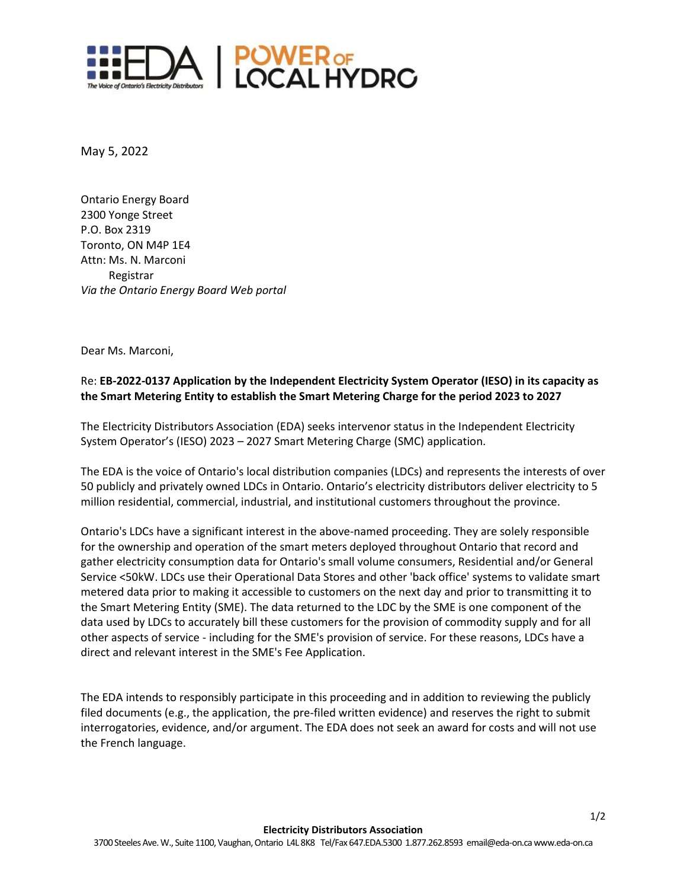

May 5, 2022

Ontario Energy Board 2300 Yonge Street P.O. Box 2319 Toronto, ON M4P 1E4 Attn: Ms. N. Marconi Registrar *Via the Ontario Energy Board Web portal*

Dear Ms. Marconi,

## Re: **EB-2022-0137 Application by the Independent Electricity System Operator (IESO) in its capacity as the Smart Metering Entity to establish the Smart Metering Charge for the period 2023 to 2027**

The Electricity Distributors Association (EDA) seeks intervenor status in the Independent Electricity System Operator's (IESO) 2023 – 2027 Smart Metering Charge (SMC) application.

The EDA is the voice of Ontario's local distribution companies (LDCs) and represents the interests of over 50 publicly and privately owned LDCs in Ontario. Ontario's electricity distributors deliver electricity to 5 million residential, commercial, industrial, and institutional customers throughout the province.

Ontario's LDCs have a significant interest in the above-named proceeding. They are solely responsible for the ownership and operation of the smart meters deployed throughout Ontario that record and gather electricity consumption data for Ontario's small volume consumers, Residential and/or General Service <50kW. LDCs use their Operational Data Stores and other 'back office' systems to validate smart metered data prior to making it accessible to customers on the next day and prior to transmitting it to the Smart Metering Entity (SME). The data returned to the LDC by the SME is one component of the data used by LDCs to accurately bill these customers for the provision of commodity supply and for all other aspects of service - including for the SME's provision of service. For these reasons, LDCs have a direct and relevant interest in the SME's Fee Application.

The EDA intends to responsibly participate in this proceeding and in addition to reviewing the publicly filed documents (e.g., the application, the pre-filed written evidence) and reserves the right to submit interrogatories, evidence, and/or argument. The EDA does not seek an award for costs and will not use the French language.

1/2